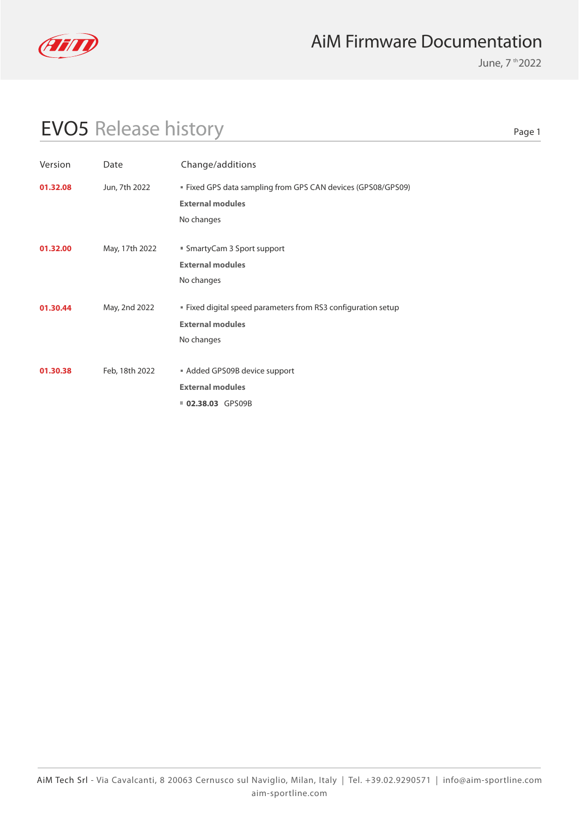

June, 7 th 2022

# EVO5 Release history

| Version  | Date           | Change/additions                                              |
|----------|----------------|---------------------------------------------------------------|
| 01.32.08 | Jun, 7th 2022  | ■ Fixed GPS data sampling from GPS CAN devices (GPS08/GPS09)  |
|          |                | <b>External modules</b>                                       |
|          |                | No changes                                                    |
|          |                |                                                               |
| 01.32.00 | May, 17th 2022 | ■ SmartyCam 3 Sport support                                   |
|          |                | <b>External modules</b>                                       |
|          |                | No changes                                                    |
| 01.30.44 | May, 2nd 2022  | " Fixed digital speed parameters from RS3 configuration setup |
|          |                | <b>External modules</b>                                       |
|          |                | No changes                                                    |
|          |                |                                                               |
| 01.30.38 | Feb, 18th 2022 | Added GPS09B device support                                   |
|          |                | <b>External modules</b>                                       |
|          |                | <b>02.38.03 GPS09B</b>                                        |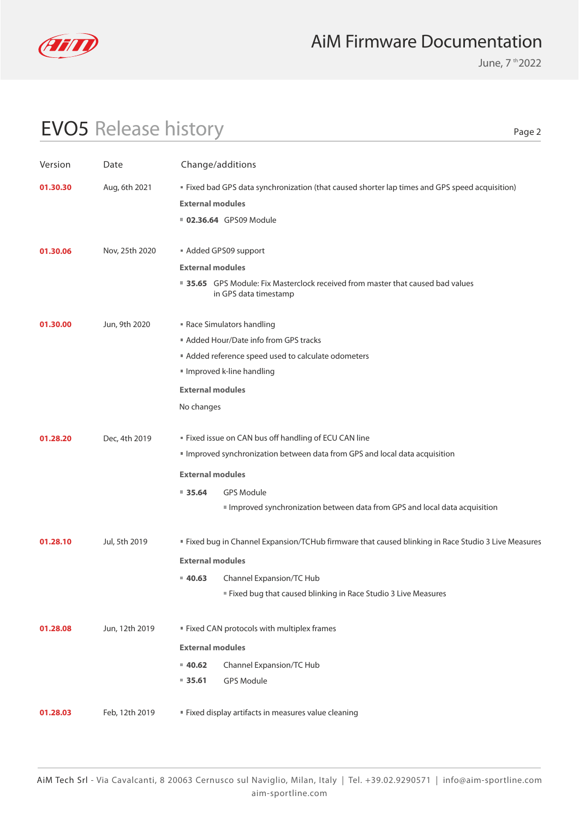

June, 7 th 2022

# EVO5 Release history

| Version  | Date           |                         | Change/additions                                                                                         |
|----------|----------------|-------------------------|----------------------------------------------------------------------------------------------------------|
| 01.30.30 | Aug, 6th 2021  |                         | " Fixed bad GPS data synchronization (that caused shorter lap times and GPS speed acquisition)           |
|          |                | <b>External modules</b> |                                                                                                          |
|          |                |                         | <b>02.36.64</b> GPS09 Module                                                                             |
| 01.30.06 | Nov, 25th 2020 |                         | Added GPS09 support                                                                                      |
|          |                | <b>External modules</b> |                                                                                                          |
|          |                |                         | ■ 35.65 GPS Module: Fix Masterclock received from master that caused bad values<br>in GPS data timestamp |
| 01.30.00 | Jun, 9th 2020  |                         | Race Simulators handling                                                                                 |
|          |                |                         | ■ Added Hour/Date info from GPS tracks                                                                   |
|          |                |                         | Added reference speed used to calculate odometers                                                        |
|          |                |                         | Improved k-line handling                                                                                 |
|          |                | <b>External modules</b> |                                                                                                          |
|          |                | No changes              |                                                                                                          |
| 01.28.20 | Dec, 4th 2019  |                         | " Fixed issue on CAN bus off handling of ECU CAN line                                                    |
|          |                |                         | Improved synchronization between data from GPS and local data acquisition                                |
|          |                | <b>External modules</b> |                                                                                                          |
|          |                | $= 35.64$               | <b>GPS Module</b>                                                                                        |
|          |                |                         | Improved synchronization between data from GPS and local data acquisition                                |
| 01.28.10 | Jul, 5th 2019  |                         | " Fixed bug in Channel Expansion/TCHub firmware that caused blinking in Race Studio 3 Live Measures      |
|          |                | <b>External modules</b> |                                                                                                          |
|          |                | $= 40.63$               | Channel Expansion/TC Hub                                                                                 |
|          |                |                         | " Fixed bug that caused blinking in Race Studio 3 Live Measures                                          |
| 01.28.08 | Jun, 12th 2019 |                         | " Fixed CAN protocols with multiplex frames                                                              |
|          |                | <b>External modules</b> |                                                                                                          |
|          |                | $= 40.62$               | Channel Expansion/TC Hub                                                                                 |
|          |                | ■ 35.61                 | <b>GPS Module</b>                                                                                        |
|          |                |                         |                                                                                                          |
| 01.28.03 | Feb, 12th 2019 |                         | " Fixed display artifacts in measures value cleaning                                                     |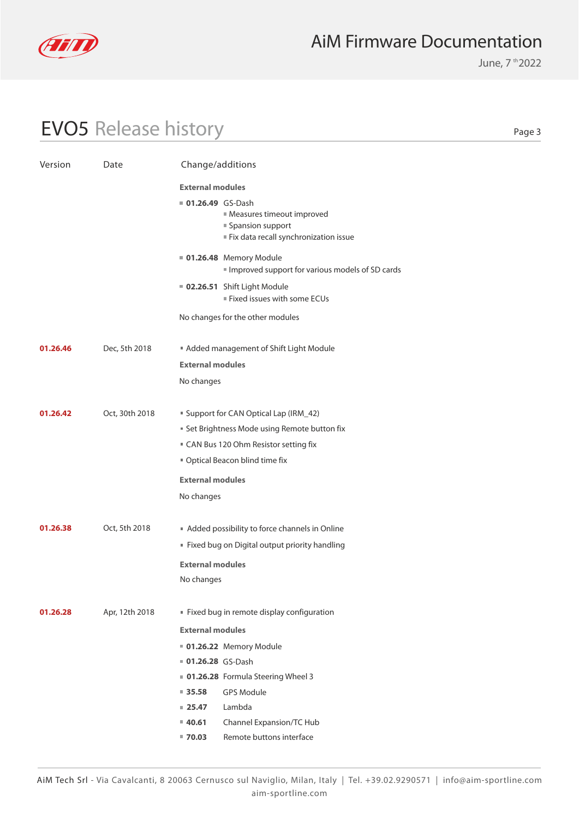

June, 7 th 2022

# EVO5 Release history

| Version  | Date           | Change/additions                                                                                                           |  |
|----------|----------------|----------------------------------------------------------------------------------------------------------------------------|--|
|          |                | <b>External modules</b>                                                                                                    |  |
|          |                | <b>01.26.49</b> GS-Dash<br><b>Measures timeout improved</b><br>■ Spansion support<br>Fix data recall synchronization issue |  |
|          |                | <b>01.26.48</b> Memory Module<br>Improved support for various models of SD cards                                           |  |
|          |                | 02.26.51 Shift Light Module<br>Fixed issues with some ECUs                                                                 |  |
|          |                | No changes for the other modules                                                                                           |  |
| 01.26.46 | Dec, 5th 2018  | Added management of Shift Light Module                                                                                     |  |
|          |                | <b>External modules</b>                                                                                                    |  |
|          |                | No changes                                                                                                                 |  |
| 01.26.42 | Oct, 30th 2018 | " Support for CAN Optical Lap (IRM_42)                                                                                     |  |
|          |                | Set Brightness Mode using Remote button fix                                                                                |  |
|          |                | " CAN Bus 120 Ohm Resistor setting fix                                                                                     |  |
|          |                | " Optical Beacon blind time fix                                                                                            |  |
|          |                | <b>External modules</b>                                                                                                    |  |
|          |                | No changes                                                                                                                 |  |
| 01.26.38 | Oct, 5th 2018  | Added possibility to force channels in Online                                                                              |  |
|          |                | Fixed bug on Digital output priority handling                                                                              |  |
|          |                | <b>External modules</b>                                                                                                    |  |
|          |                | No changes                                                                                                                 |  |
| 01.26.28 | Apr, 12th 2018 | Fixed bug in remote display configuration                                                                                  |  |
|          |                | <b>External modules</b>                                                                                                    |  |
|          |                | <b>01.26.22</b> Memory Module                                                                                              |  |
|          |                | 01.26.28 GS-Dash                                                                                                           |  |
|          |                | ■ 01.26.28 Formula Steering Wheel 3                                                                                        |  |
|          |                | <b>GPS Module</b><br>■ 35.58                                                                                               |  |
|          |                | Lambda<br>$= 25.47$                                                                                                        |  |
|          |                | Channel Expansion/TC Hub<br>■ 40.61                                                                                        |  |
|          |                | Remote buttons interface<br>■ 70.03                                                                                        |  |
|          |                |                                                                                                                            |  |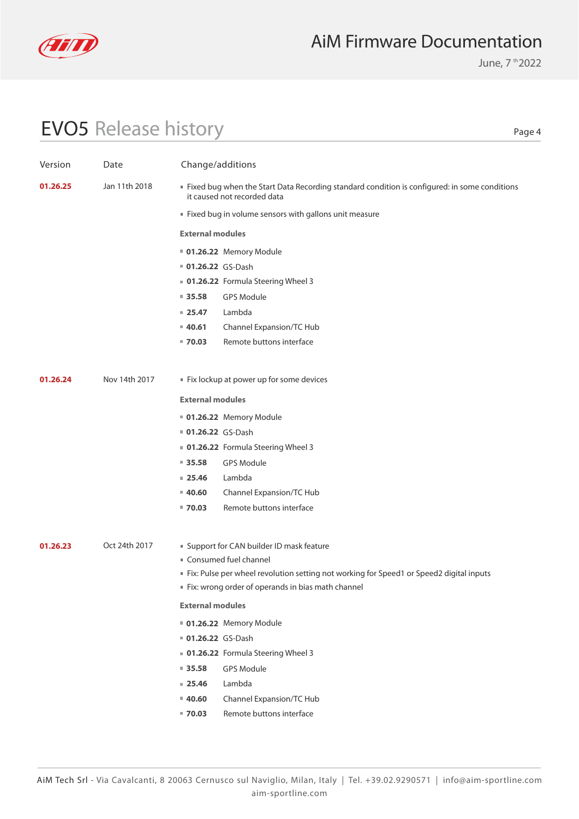

June, 7 th 2022

# EVO5 Release history

| Version  | Date          | Change/additions        |                                                                                                                                |
|----------|---------------|-------------------------|--------------------------------------------------------------------------------------------------------------------------------|
| 01.26.25 | Jan 11th 2018 |                         | If Fixed bug when the Start Data Recording standard condition is configured: in some conditions<br>it caused not recorded data |
|          |               |                         | Fixed bug in volume sensors with gallons unit measure                                                                          |
|          |               | <b>External modules</b> |                                                                                                                                |
|          |               |                         | <b>01.26.22</b> Memory Module                                                                                                  |
|          |               | 01.26.22 GS-Dash        |                                                                                                                                |
|          |               |                         | • 01.26.22 Formula Steering Wheel 3                                                                                            |
|          |               | 935.58                  | <b>GPS Module</b>                                                                                                              |
|          |               | $= 25.47$               | Lambda                                                                                                                         |
|          |               | $= 40.61$               | Channel Expansion/TC Hub                                                                                                       |
|          |               | $= 70.03$               | Remote buttons interface                                                                                                       |
|          |               |                         |                                                                                                                                |
| 01.26.24 | Nov 14th 2017 |                         | Fix lockup at power up for some devices                                                                                        |
|          |               | <b>External modules</b> |                                                                                                                                |
|          |               |                         | <b>01.26.22</b> Memory Module                                                                                                  |
|          |               | 01.26.22 GS-Dash        |                                                                                                                                |
|          |               |                         | • 01.26.22 Formula Steering Wheel 3                                                                                            |
|          |               | 935.58                  | <b>GPS Module</b>                                                                                                              |
|          |               | $= 25.46$               | Lambda                                                                                                                         |
|          |               | $= 40.60$               | Channel Expansion/TC Hub                                                                                                       |
|          |               | $= 70.03$               | Remote buttons interface                                                                                                       |
| 01.26.23 | Oct 24th 2017 |                         | " Support for CAN builder ID mask feature                                                                                      |
|          |               |                         | " Consumed fuel channel                                                                                                        |
|          |               |                         | Fix: Pulse per wheel revolution setting not working for Speed1 or Speed2 digital inputs                                        |
|          |               |                         | Fix: wrong order of operands in bias math channel                                                                              |
|          |               | <b>External modules</b> |                                                                                                                                |
|          |               |                         | 01.26.22 Memory Module                                                                                                         |
|          |               | 01.26.22 GS-Dash        |                                                                                                                                |
|          |               |                         | 01.26.22 Formula Steering Wheel 3                                                                                              |
|          |               | 935.58                  | <b>GPS Module</b>                                                                                                              |
|          |               | $= 25.46$               | Lambda                                                                                                                         |
|          |               | 40.60                   | Channel Expansion/TC Hub                                                                                                       |
|          |               | $= 70.03$               | Remote buttons interface                                                                                                       |
|          |               |                         |                                                                                                                                |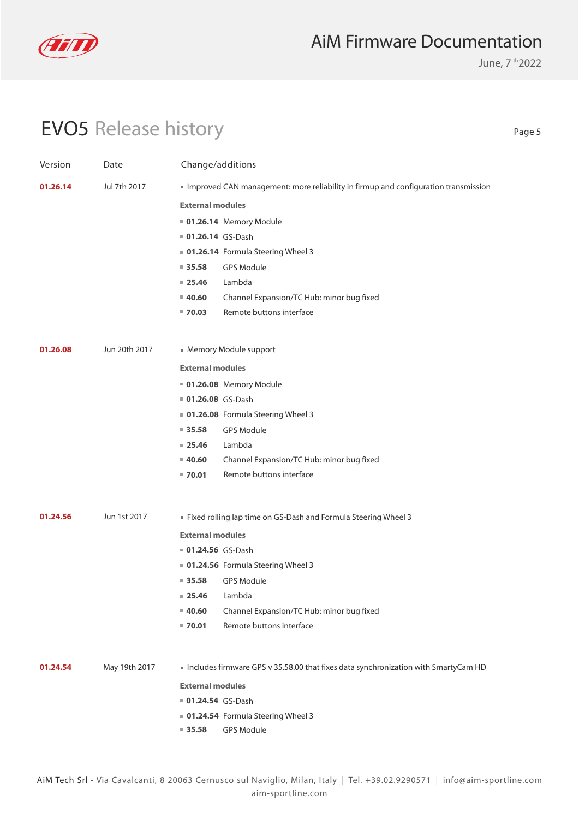

June, 7 th 2022

# EVO5 Release history

| Version  | Date          | Change/additions        |                                                                                    |
|----------|---------------|-------------------------|------------------------------------------------------------------------------------|
| 01.26.14 | Jul 7th 2017  |                         | Improved CAN management: more reliability in firmup and configuration transmission |
|          |               | <b>External modules</b> |                                                                                    |
|          |               |                         | 01.26.14 Memory Module                                                             |
|          |               | 01.26.14 GS-Dash        |                                                                                    |
|          |               |                         | ■ 01.26.14 Formula Steering Wheel 3                                                |
|          |               | $= 35.58$               | <b>GPS Module</b>                                                                  |
|          |               | $= 25.46$               | Lambda                                                                             |
|          |               | $= 40.60$               | Channel Expansion/TC Hub: minor bug fixed                                          |
|          |               | $= 70.03$               | Remote buttons interface                                                           |
| 01.26.08 | Jun 20th 2017 |                         | • Memory Module support                                                            |
|          |               | <b>External modules</b> |                                                                                    |
|          |               |                         |                                                                                    |
|          |               | 01.26.08 GS-Dash        | 01.26.08 Memory Module                                                             |
|          |               |                         | 01.26.08 Formula Steering Wheel 3                                                  |
|          |               | $\blacksquare$ 35.58    | <b>GPS Module</b>                                                                  |
|          |               | $= 25.46$               | Lambda                                                                             |
|          |               | $= 40.60$               | Channel Expansion/TC Hub: minor bug fixed                                          |
|          |               | $= 70.01$               | Remote buttons interface                                                           |
|          |               |                         |                                                                                    |
| 01.24.56 | Jun 1st 2017  |                         | ■ Fixed rolling lap time on GS-Dash and Formula Steering Wheel 3                   |
|          |               | <b>External modules</b> |                                                                                    |
|          |               | <b>01.24.56</b> GS-Dash |                                                                                    |
|          |               |                         | 01.24.56 Formula Steering Wheel 3                                                  |
|          |               | $\blacksquare$ 35.58    | <b>GPS Module</b>                                                                  |
|          |               | $= 25.46$               | Lambda                                                                             |
|          |               | $= 40.60$               | Channel Expansion/TC Hub: minor bug fixed                                          |
|          |               | $= 70.01$               | Remote buttons interface                                                           |
| 01.24.54 | May 19th 2017 |                         | Includes firmware GPS v 35.58.00 that fixes data synchronization with SmartyCam HD |
|          |               | <b>External modules</b> |                                                                                    |
|          |               | <b>01.24.54 GS-Dash</b> |                                                                                    |
|          |               |                         | 01.24.54 Formula Steering Wheel 3                                                  |
|          |               | 935.58                  | <b>GPS Module</b>                                                                  |
|          |               |                         |                                                                                    |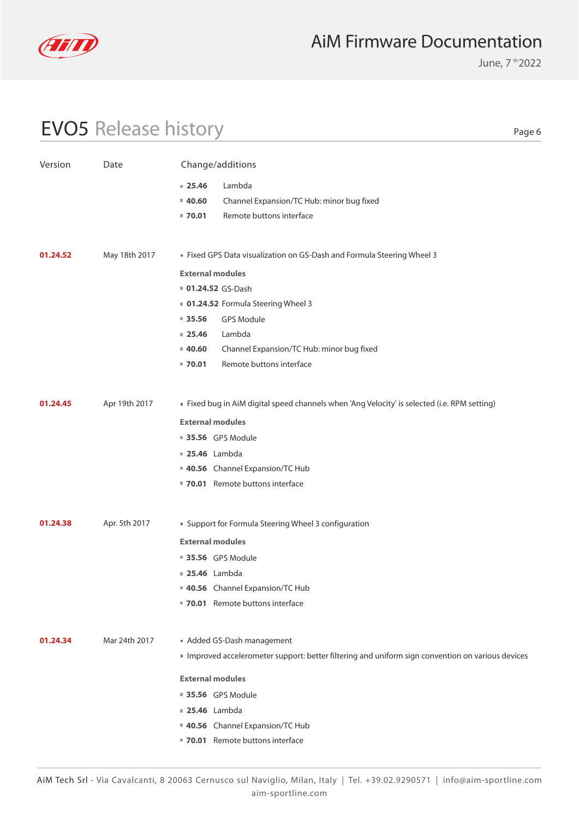

June, 7 th 2022

# EVO5 Release history

| Version  | Date          | Change/additions                                                                                |  |
|----------|---------------|-------------------------------------------------------------------------------------------------|--|
|          |               | Lambda<br>$= 25.46$                                                                             |  |
|          |               | Channel Expansion/TC Hub: minor bug fixed<br>$= 40.60$                                          |  |
|          |               | Remote buttons interface<br>$= 70.01$                                                           |  |
|          |               |                                                                                                 |  |
| 01.24.52 | May 18th 2017 | Eixed GPS Data visualization on GS-Dash and Formula Steering Wheel 3                            |  |
|          |               | <b>External modules</b>                                                                         |  |
|          |               | 01.24.52 GS-Dash                                                                                |  |
|          |               | 01.24.52 Formula Steering Wheel 3                                                               |  |
|          |               | $= 35.56$<br><b>GPS Module</b>                                                                  |  |
|          |               | Lambda<br>$= 25.46$                                                                             |  |
|          |               | $= 40.60$<br>Channel Expansion/TC Hub: minor bug fixed                                          |  |
|          |               | Remote buttons interface<br>$= 70.01$                                                           |  |
|          |               |                                                                                                 |  |
| 01.24.45 | Apr 19th 2017 | Fixed bug in AiM digital speed channels when 'Ang Velocity' is selected (i.e. RPM setting)      |  |
|          |               | <b>External modules</b>                                                                         |  |
|          |               | 35.56 GPS Module                                                                                |  |
|          |               | <b>25.46</b> Lambda                                                                             |  |
|          |               | 40.56 Channel Expansion/TC Hub                                                                  |  |
|          |               | ■ 70.01 Remote buttons interface                                                                |  |
|          |               |                                                                                                 |  |
| 01.24.38 | Apr. 5th 2017 | <b>Support for Formula Steering Wheel 3 configuration</b>                                       |  |
|          |               | <b>External modules</b>                                                                         |  |
|          |               | ■ 35.56 GPS Module                                                                              |  |
|          |               | <b>25.46</b> Lambda                                                                             |  |
|          |               | 40.56 Channel Expansion/TC Hub                                                                  |  |
|          |               | 70.01 Remote buttons interface                                                                  |  |
|          |               |                                                                                                 |  |
| 01.24.34 | Mar 24th 2017 | Added GS-Dash management                                                                        |  |
|          |               | Improved accelerometer support: better filtering and uniform sign convention on various devices |  |
|          |               | <b>External modules</b>                                                                         |  |
|          |               | ■ 35.56 GPS Module                                                                              |  |
|          |               | <b>25.46</b> Lambda                                                                             |  |
|          |               | 40.56 Channel Expansion/TC Hub                                                                  |  |
|          |               | 70.01 Remote buttons interface                                                                  |  |
|          |               |                                                                                                 |  |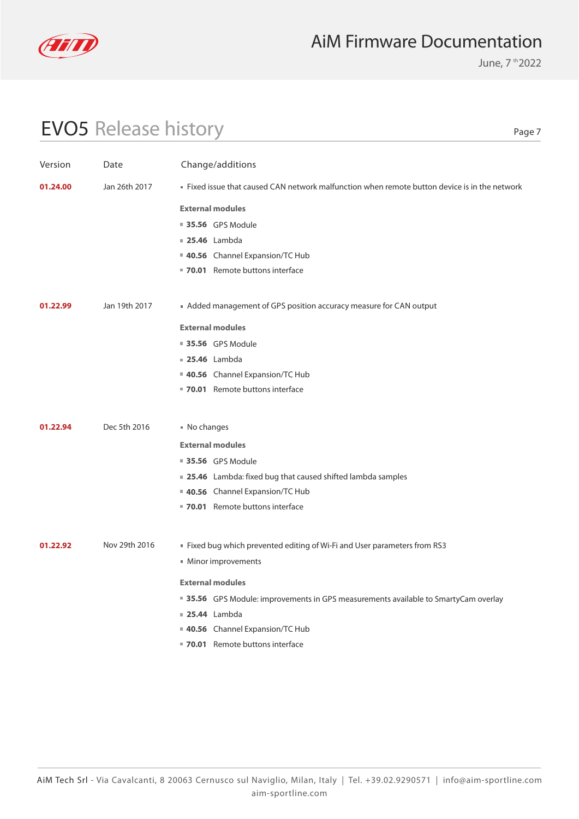

June, 7 th 2022

# EVO5 Release history

| Version  | Date          | Change/additions                                                                              |
|----------|---------------|-----------------------------------------------------------------------------------------------|
| 01.24.00 | Jan 26th 2017 | . Fixed issue that caused CAN network malfunction when remote button device is in the network |
|          |               | <b>External modules</b>                                                                       |
|          |               | <b>35.56</b> GPS Module                                                                       |
|          |               | <b>25.46</b> Lambda                                                                           |
|          |               | 40.56 Channel Expansion/TC Hub                                                                |
|          |               | 70.01 Remote buttons interface                                                                |
|          | Jan 19th 2017 |                                                                                               |
| 01.22.99 |               | ■ Added management of GPS position accuracy measure for CAN output                            |
|          |               | <b>External modules</b>                                                                       |
|          |               | <b>35.56</b> GPS Module                                                                       |
|          |               | <b>25.46</b> Lambda                                                                           |
|          |               | 40.56 Channel Expansion/TC Hub                                                                |
|          |               | 70.01 Remote buttons interface                                                                |
|          |               |                                                                                               |
| 01.22.94 | Dec 5th 2016  | ■ No changes                                                                                  |
|          |               | <b>External modules</b>                                                                       |
|          |               | <b>35.56</b> GPS Module                                                                       |
|          |               | ■ 25.46 Lambda: fixed bug that caused shifted lambda samples                                  |
|          |               | 40.56 Channel Expansion/TC Hub                                                                |
|          |               | ■ 70.01 Remote buttons interface                                                              |
| 01.22.92 | Nov 29th 2016 |                                                                                               |
|          |               | ■ Fixed bug which prevented editing of Wi-Fi and User parameters from RS3                     |
|          |               | ■ Minor improvements                                                                          |
|          |               | <b>External modules</b>                                                                       |
|          |               | ■ 35.56 GPS Module: improvements in GPS measurements available to SmartyCam overlay           |
|          |               | <b>25.44</b> Lambda                                                                           |
|          |               | 40.56 Channel Expansion/TC Hub                                                                |
|          |               | 70.01 Remote buttons interface                                                                |
|          |               |                                                                                               |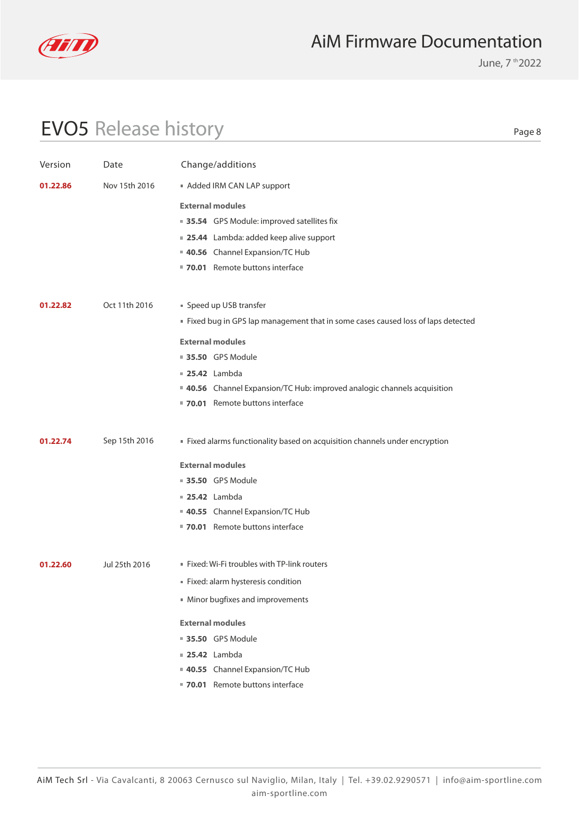

June, 7 th 2022

# EVO5 Release history

| i<br>×<br>I |  |
|-------------|--|
|-------------|--|

| Version  | Date          | Change/additions                                                                |
|----------|---------------|---------------------------------------------------------------------------------|
| 01.22.86 | Nov 15th 2016 | Added IRM CAN LAP support                                                       |
|          |               | <b>External modules</b>                                                         |
|          |               | ■ 35.54 GPS Module: improved satellites fix                                     |
|          |               | <b>25.44</b> Lambda: added keep alive support                                   |
|          |               | 40.56 Channel Expansion/TC Hub                                                  |
|          |               | 70.01 Remote buttons interface                                                  |
|          |               |                                                                                 |
| 01.22.82 | Oct 11th 2016 | Speed up USB transfer                                                           |
|          |               | Fixed bug in GPS lap management that in some cases caused loss of laps detected |
|          |               | <b>External modules</b>                                                         |
|          |               | <b>35.50 GPS Module</b>                                                         |
|          |               | $\blacksquare$ 25.42 Lambda                                                     |
|          |               | <b>40.56</b> Channel Expansion/TC Hub: improved analogic channels acquisition   |
|          |               | ■ 70.01 Remote buttons interface                                                |
|          |               |                                                                                 |
| 01.22.74 | Sep 15th 2016 | Fixed alarms functionality based on acquisition channels under encryption       |
|          |               | <b>External modules</b>                                                         |
|          |               | ■ 35.50 GPS Module                                                              |
|          |               | <b>25.42</b> Lambda                                                             |
|          |               | 40.55 Channel Expansion/TC Hub                                                  |
|          |               | ■ 70.01 Remote buttons interface                                                |
|          |               |                                                                                 |
| 01.22.60 | Jul 25th 2016 | Fixed: Wi-Fi troubles with TP-link routers                                      |
|          |               | Fixed: alarm hysteresis condition                                               |
|          |               | Minor bugfixes and improvements                                                 |
|          |               | <b>External modules</b>                                                         |
|          |               | ■ 35.50 GPS Module                                                              |
|          |               | <b>25.42</b> Lambda                                                             |
|          |               | 40.55 Channel Expansion/TC Hub                                                  |
|          |               | ■ 70.01 Remote buttons interface                                                |
|          |               |                                                                                 |